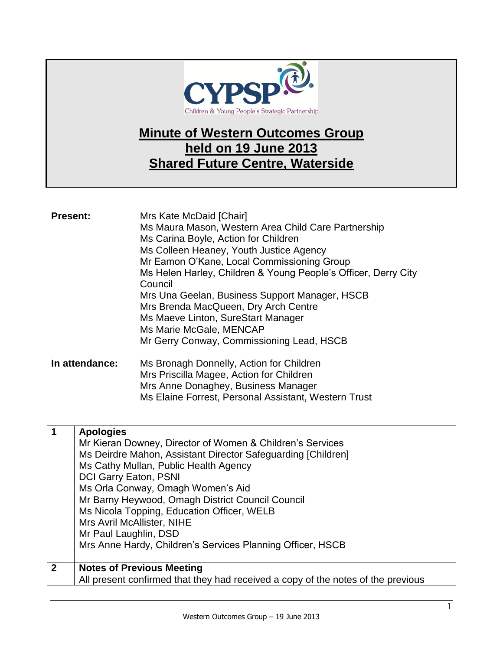

## **Minute of Western Outcomes Group held on 19 June 2013 Shared Future Centre, Waterside**

| <b>Present:</b> | Mrs Kate McDaid [Chair]<br>Ms Maura Mason, Western Area Child Care Partnership<br>Ms Carina Boyle, Action for Children<br>Ms Colleen Heaney, Youth Justice Agency<br>Mr Eamon O'Kane, Local Commissioning Group<br>Ms Helen Harley, Children & Young People's Officer, Derry City<br>Council<br>Mrs Una Geelan, Business Support Manager, HSCB<br>Mrs Brenda MacQueen, Dry Arch Centre<br>Ms Maeve Linton, SureStart Manager<br>Ms Marie McGale, MENCAP<br>Mr Gerry Conway, Commissioning Lead, HSCB |
|-----------------|------------------------------------------------------------------------------------------------------------------------------------------------------------------------------------------------------------------------------------------------------------------------------------------------------------------------------------------------------------------------------------------------------------------------------------------------------------------------------------------------------|
| In attendance:  | Ms Bronagh Donnelly, Action for Children                                                                                                                                                                                                                                                                                                                                                                                                                                                             |

| In attendance: | Ms Bronagh Donnelly, Action for Children             |
|----------------|------------------------------------------------------|
|                | Mrs Priscilla Magee, Action for Children             |
|                | Mrs Anne Donaghey, Business Manager                  |
|                | Ms Elaine Forrest, Personal Assistant, Western Trust |
|                |                                                      |

| 1            | <b>Apologies</b>                                                                 |
|--------------|----------------------------------------------------------------------------------|
|              | Mr Kieran Downey, Director of Women & Children's Services                        |
|              | Ms Deirdre Mahon, Assistant Director Safeguarding [Children]                     |
|              | Ms Cathy Mullan, Public Health Agency                                            |
|              | DCI Garry Eaton, PSNI                                                            |
|              | Ms Orla Conway, Omagh Women's Aid                                                |
|              | Mr Barny Heywood, Omagh District Council Council                                 |
|              | Ms Nicola Topping, Education Officer, WELB                                       |
|              | Mrs Avril McAllister, NIHE                                                       |
|              | Mr Paul Laughlin, DSD                                                            |
|              | Mrs Anne Hardy, Children's Services Planning Officer, HSCB                       |
|              |                                                                                  |
| $\mathbf{2}$ | <b>Notes of Previous Meeting</b>                                                 |
|              | All present confirmed that they had received a copy of the notes of the previous |
|              |                                                                                  |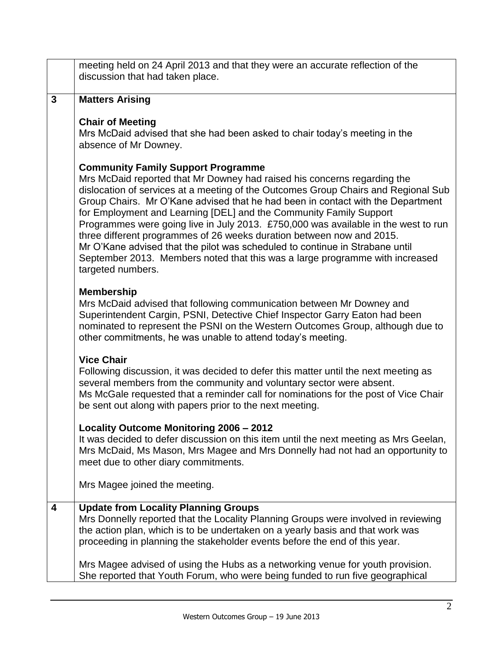|              | meeting held on 24 April 2013 and that they were an accurate reflection of the<br>discussion that had taken place.                                                                                                                                                                                                                                                                                                                                                                                                                                                                                                                                                                                                       |
|--------------|--------------------------------------------------------------------------------------------------------------------------------------------------------------------------------------------------------------------------------------------------------------------------------------------------------------------------------------------------------------------------------------------------------------------------------------------------------------------------------------------------------------------------------------------------------------------------------------------------------------------------------------------------------------------------------------------------------------------------|
| $\mathbf{3}$ | <b>Matters Arising</b>                                                                                                                                                                                                                                                                                                                                                                                                                                                                                                                                                                                                                                                                                                   |
|              | <b>Chair of Meeting</b><br>Mrs McDaid advised that she had been asked to chair today's meeting in the<br>absence of Mr Downey.                                                                                                                                                                                                                                                                                                                                                                                                                                                                                                                                                                                           |
|              | <b>Community Family Support Programme</b><br>Mrs McDaid reported that Mr Downey had raised his concerns regarding the<br>dislocation of services at a meeting of the Outcomes Group Chairs and Regional Sub<br>Group Chairs. Mr O'Kane advised that he had been in contact with the Department<br>for Employment and Learning [DEL] and the Community Family Support<br>Programmes were going live in July 2013. £750,000 was available in the west to run<br>three different programmes of 26 weeks duration between now and 2015.<br>Mr O'Kane advised that the pilot was scheduled to continue in Strabane until<br>September 2013. Members noted that this was a large programme with increased<br>targeted numbers. |
|              | <b>Membership</b><br>Mrs McDaid advised that following communication between Mr Downey and<br>Superintendent Cargin, PSNI, Detective Chief Inspector Garry Eaton had been<br>nominated to represent the PSNI on the Western Outcomes Group, although due to<br>other commitments, he was unable to attend today's meeting.                                                                                                                                                                                                                                                                                                                                                                                               |
|              | <b>Vice Chair</b><br>Following discussion, it was decided to defer this matter until the next meeting as<br>several members from the community and voluntary sector were absent.<br>Ms McGale requested that a reminder call for nominations for the post of Vice Chair<br>be sent out along with papers prior to the next meeting.                                                                                                                                                                                                                                                                                                                                                                                      |
|              | Locality Outcome Monitoring 2006 - 2012<br>It was decided to defer discussion on this item until the next meeting as Mrs Geelan,<br>Mrs McDaid, Ms Mason, Mrs Magee and Mrs Donnelly had not had an opportunity to<br>meet due to other diary commitments.                                                                                                                                                                                                                                                                                                                                                                                                                                                               |
|              | Mrs Magee joined the meeting.                                                                                                                                                                                                                                                                                                                                                                                                                                                                                                                                                                                                                                                                                            |
| 4            | <b>Update from Locality Planning Groups</b><br>Mrs Donnelly reported that the Locality Planning Groups were involved in reviewing<br>the action plan, which is to be undertaken on a yearly basis and that work was<br>proceeding in planning the stakeholder events before the end of this year.                                                                                                                                                                                                                                                                                                                                                                                                                        |
|              | Mrs Magee advised of using the Hubs as a networking venue for youth provision.<br>She reported that Youth Forum, who were being funded to run five geographical                                                                                                                                                                                                                                                                                                                                                                                                                                                                                                                                                          |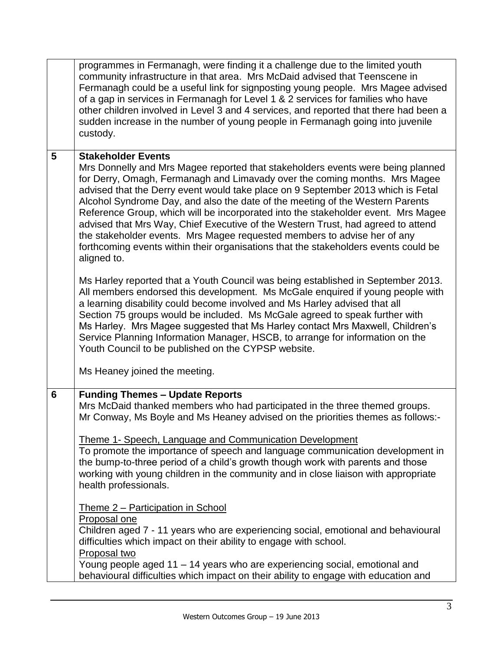|   | programmes in Fermanagh, were finding it a challenge due to the limited youth<br>community infrastructure in that area. Mrs McDaid advised that Teenscene in<br>Fermanagh could be a useful link for signposting young people. Mrs Magee advised<br>of a gap in services in Fermanagh for Level 1 & 2 services for families who have<br>other children involved in Level 3 and 4 services, and reported that there had been a<br>sudden increase in the number of young people in Fermanagh going into juvenile<br>custody.                                                                                                                                                                                                                                                                                                                                                                                                                                |
|---|------------------------------------------------------------------------------------------------------------------------------------------------------------------------------------------------------------------------------------------------------------------------------------------------------------------------------------------------------------------------------------------------------------------------------------------------------------------------------------------------------------------------------------------------------------------------------------------------------------------------------------------------------------------------------------------------------------------------------------------------------------------------------------------------------------------------------------------------------------------------------------------------------------------------------------------------------------|
| 5 | <b>Stakeholder Events</b><br>Mrs Donnelly and Mrs Magee reported that stakeholders events were being planned<br>for Derry, Omagh, Fermanagh and Limavady over the coming months. Mrs Magee<br>advised that the Derry event would take place on 9 September 2013 which is Fetal<br>Alcohol Syndrome Day, and also the date of the meeting of the Western Parents<br>Reference Group, which will be incorporated into the stakeholder event. Mrs Magee<br>advised that Mrs Way, Chief Executive of the Western Trust, had agreed to attend<br>the stakeholder events. Mrs Magee requested members to advise her of any<br>forthcoming events within their organisations that the stakeholders events could be<br>aligned to.                                                                                                                                                                                                                                 |
|   | Ms Harley reported that a Youth Council was being established in September 2013.<br>All members endorsed this development. Ms McGale enquired if young people with<br>a learning disability could become involved and Ms Harley advised that all<br>Section 75 groups would be included. Ms McGale agreed to speak further with<br>Ms Harley. Mrs Magee suggested that Ms Harley contact Mrs Maxwell, Children's<br>Service Planning Information Manager, HSCB, to arrange for information on the<br>Youth Council to be published on the CYPSP website.<br>Ms Heaney joined the meeting.                                                                                                                                                                                                                                                                                                                                                                  |
| 6 | <b>Funding Themes - Update Reports</b><br>Mrs McDaid thanked members who had participated in the three themed groups.<br>Mr Conway, Ms Boyle and Ms Heaney advised on the priorities themes as follows:-<br>Theme 1- Speech, Language and Communication Development<br>To promote the importance of speech and language communication development in<br>the bump-to-three period of a child's growth though work with parents and those<br>working with young children in the community and in close liaison with appropriate<br>health professionals.<br>Theme 2 - Participation in School<br>Proposal one<br>Children aged 7 - 11 years who are experiencing social, emotional and behavioural<br>difficulties which impact on their ability to engage with school.<br>Proposal two<br>Young people aged 11 - 14 years who are experiencing social, emotional and<br>behavioural difficulties which impact on their ability to engage with education and |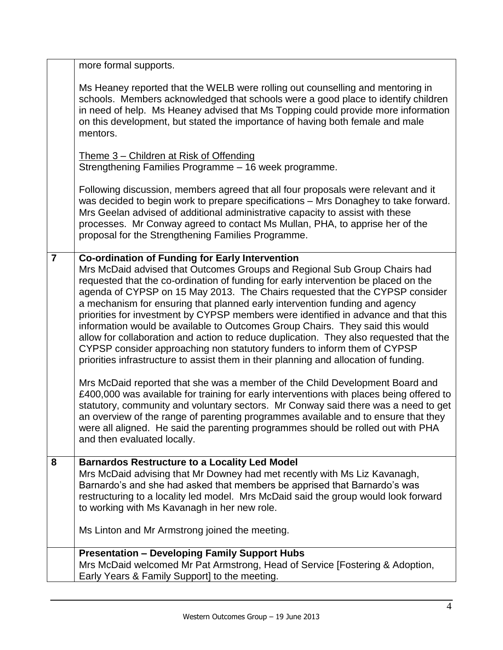|                | more formal supports.                                                                                                                                                                                                                                                                                                                                                                                                                                                                                                                                                                                                                                                                                                                                                                                                                                                                                                                                                                                                                                                                                                                                                                                                                                                                                       |
|----------------|-------------------------------------------------------------------------------------------------------------------------------------------------------------------------------------------------------------------------------------------------------------------------------------------------------------------------------------------------------------------------------------------------------------------------------------------------------------------------------------------------------------------------------------------------------------------------------------------------------------------------------------------------------------------------------------------------------------------------------------------------------------------------------------------------------------------------------------------------------------------------------------------------------------------------------------------------------------------------------------------------------------------------------------------------------------------------------------------------------------------------------------------------------------------------------------------------------------------------------------------------------------------------------------------------------------|
|                | Ms Heaney reported that the WELB were rolling out counselling and mentoring in<br>schools. Members acknowledged that schools were a good place to identify children<br>in need of help. Ms Heaney advised that Ms Topping could provide more information<br>on this development, but stated the importance of having both female and male<br>mentors.                                                                                                                                                                                                                                                                                                                                                                                                                                                                                                                                                                                                                                                                                                                                                                                                                                                                                                                                                       |
|                | Theme 3 – Children at Risk of Offending<br>Strengthening Families Programme - 16 week programme.                                                                                                                                                                                                                                                                                                                                                                                                                                                                                                                                                                                                                                                                                                                                                                                                                                                                                                                                                                                                                                                                                                                                                                                                            |
|                | Following discussion, members agreed that all four proposals were relevant and it<br>was decided to begin work to prepare specifications - Mrs Donaghey to take forward.<br>Mrs Geelan advised of additional administrative capacity to assist with these<br>processes. Mr Conway agreed to contact Ms Mullan, PHA, to apprise her of the<br>proposal for the Strengthening Families Programme.                                                                                                                                                                                                                                                                                                                                                                                                                                                                                                                                                                                                                                                                                                                                                                                                                                                                                                             |
| $\overline{7}$ | <b>Co-ordination of Funding for Early Intervention</b><br>Mrs McDaid advised that Outcomes Groups and Regional Sub Group Chairs had<br>requested that the co-ordination of funding for early intervention be placed on the<br>agenda of CYPSP on 15 May 2013. The Chairs requested that the CYPSP consider<br>a mechanism for ensuring that planned early intervention funding and agency<br>priorities for investment by CYPSP members were identified in advance and that this<br>information would be available to Outcomes Group Chairs. They said this would<br>allow for collaboration and action to reduce duplication. They also requested that the<br>CYPSP consider approaching non statutory funders to inform them of CYPSP<br>priorities infrastructure to assist them in their planning and allocation of funding.<br>Mrs McDaid reported that she was a member of the Child Development Board and<br>£400,000 was available for training for early interventions with places being offered to<br>statutory, community and voluntary sectors. Mr Conway said there was a need to get<br>an overview of the range of parenting programmes available and to ensure that they<br>were all aligned. He said the parenting programmes should be rolled out with PHA<br>and then evaluated locally. |
| 8              | <b>Barnardos Restructure to a Locality Led Model</b><br>Mrs McDaid advising that Mr Downey had met recently with Ms Liz Kavanagh,<br>Barnardo's and she had asked that members be apprised that Barnardo's was<br>restructuring to a locality led model. Mrs McDaid said the group would look forward<br>to working with Ms Kavanagh in her new role.<br>Ms Linton and Mr Armstrong joined the meeting.                                                                                                                                                                                                                                                                                                                                                                                                                                                                                                                                                                                                                                                                                                                                                                                                                                                                                                     |
|                | <b>Presentation - Developing Family Support Hubs</b><br>Mrs McDaid welcomed Mr Pat Armstrong, Head of Service [Fostering & Adoption,<br>Early Years & Family Support] to the meeting.                                                                                                                                                                                                                                                                                                                                                                                                                                                                                                                                                                                                                                                                                                                                                                                                                                                                                                                                                                                                                                                                                                                       |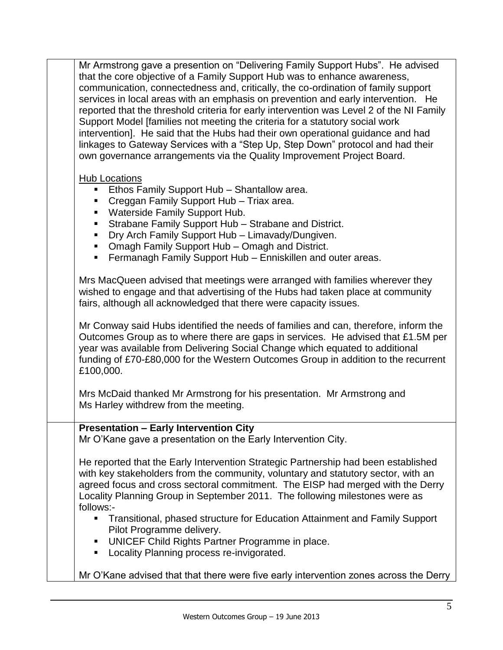Mr Armstrong gave a presention on "Delivering Family Support Hubs". He advised that the core objective of a Family Support Hub was to enhance awareness, communication, connectedness and, critically, the co-ordination of family support services in local areas with an emphasis on prevention and early intervention. He reported that the threshold criteria for early intervention was Level 2 of the NI Family Support Model [families not meeting the criteria for a statutory social work intervention]. He said that the Hubs had their own operational guidance and had linkages to Gateway Services with a "Step Up, Step Down" protocol and had their own governance arrangements via the Quality Improvement Project Board.

## Hub Locations

- Ethos Family Support Hub Shantallow area.
- **Creggan Family Support Hub Triax area.**
- **Waterside Family Support Hub.**
- Strabane Family Support Hub Strabane and District.
- **Dry Arch Family Support Hub Limavady/Dungiven.**
- Omagh Family Support Hub Omagh and District.
- **Fermanagh Family Support Hub Enniskillen and outer areas.**

Mrs MacQueen advised that meetings were arranged with families wherever they wished to engage and that advertising of the Hubs had taken place at community fairs, although all acknowledged that there were capacity issues.

Mr Conway said Hubs identified the needs of families and can, therefore, inform the Outcomes Group as to where there are gaps in services. He advised that £1.5M per year was available from Delivering Social Change which equated to additional funding of £70-£80,000 for the Western Outcomes Group in addition to the recurrent £100,000.

Mrs McDaid thanked Mr Armstrong for his presentation. Mr Armstrong and Ms Harley withdrew from the meeting.

## **Presentation – Early Intervention City**

Mr O'Kane gave a presentation on the Early Intervention City.

He reported that the Early Intervention Strategic Partnership had been established with key stakeholders from the community, voluntary and statutory sector, with an agreed focus and cross sectoral commitment. The EISP had merged with the Derry Locality Planning Group in September 2011. The following milestones were as follows:-

- Transitional, phased structure for Education Attainment and Family Support Pilot Programme delivery.
- **UNICEF Child Rights Partner Programme in place.**
- **Locality Planning process re-invigorated.**
- Mr O'Kane advised that that there were five early intervention zones across the Derry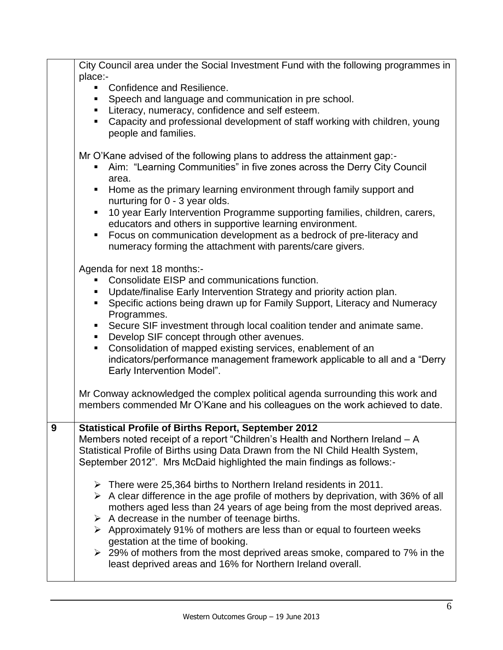| place:-<br>Confidence and Resilience.<br>Speech and language and communication in pre school.<br>• Literacy, numeracy, confidence and self esteem.<br>Capacity and professional development of staff working with children, young<br>people and families.<br>Mr O'Kane advised of the following plans to address the attainment gap:-<br>Aim: "Learning Communities" in five zones across the Derry City Council<br>area.<br>Home as the primary learning environment through family support and<br>$\blacksquare$<br>nurturing for 0 - 3 year olds.<br>10 year Early Intervention Programme supporting families, children, carers,<br>Ξ<br>educators and others in supportive learning environment.<br>Focus on communication development as a bedrock of pre-literacy and<br>numeracy forming the attachment with parents/care givers.<br>Agenda for next 18 months:-<br>Consolidate EISP and communications function.<br>• Update/finalise Early Intervention Strategy and priority action plan.<br>• Specific actions being drawn up for Family Support, Literacy and Numeracy<br>Programmes.<br>Secure SIF investment through local coalition tender and animate same.<br>$\mathbf{r}$<br>Develop SIF concept through other avenues.<br>Consolidation of mapped existing services, enablement of an<br>indicators/performance management framework applicable to all and a "Derry<br>Early Intervention Model".<br>Mr Conway acknowledged the complex political agenda surrounding this work and<br>members commended Mr O'Kane and his colleagues on the work achieved to date. |
|---------------------------------------------------------------------------------------------------------------------------------------------------------------------------------------------------------------------------------------------------------------------------------------------------------------------------------------------------------------------------------------------------------------------------------------------------------------------------------------------------------------------------------------------------------------------------------------------------------------------------------------------------------------------------------------------------------------------------------------------------------------------------------------------------------------------------------------------------------------------------------------------------------------------------------------------------------------------------------------------------------------------------------------------------------------------------------------------------------------------------------------------------------------------------------------------------------------------------------------------------------------------------------------------------------------------------------------------------------------------------------------------------------------------------------------------------------------------------------------------------------------------------------------------------------------------------------------|
|                                                                                                                                                                                                                                                                                                                                                                                                                                                                                                                                                                                                                                                                                                                                                                                                                                                                                                                                                                                                                                                                                                                                                                                                                                                                                                                                                                                                                                                                                                                                                                                       |
|                                                                                                                                                                                                                                                                                                                                                                                                                                                                                                                                                                                                                                                                                                                                                                                                                                                                                                                                                                                                                                                                                                                                                                                                                                                                                                                                                                                                                                                                                                                                                                                       |
|                                                                                                                                                                                                                                                                                                                                                                                                                                                                                                                                                                                                                                                                                                                                                                                                                                                                                                                                                                                                                                                                                                                                                                                                                                                                                                                                                                                                                                                                                                                                                                                       |
|                                                                                                                                                                                                                                                                                                                                                                                                                                                                                                                                                                                                                                                                                                                                                                                                                                                                                                                                                                                                                                                                                                                                                                                                                                                                                                                                                                                                                                                                                                                                                                                       |
|                                                                                                                                                                                                                                                                                                                                                                                                                                                                                                                                                                                                                                                                                                                                                                                                                                                                                                                                                                                                                                                                                                                                                                                                                                                                                                                                                                                                                                                                                                                                                                                       |
|                                                                                                                                                                                                                                                                                                                                                                                                                                                                                                                                                                                                                                                                                                                                                                                                                                                                                                                                                                                                                                                                                                                                                                                                                                                                                                                                                                                                                                                                                                                                                                                       |
|                                                                                                                                                                                                                                                                                                                                                                                                                                                                                                                                                                                                                                                                                                                                                                                                                                                                                                                                                                                                                                                                                                                                                                                                                                                                                                                                                                                                                                                                                                                                                                                       |
|                                                                                                                                                                                                                                                                                                                                                                                                                                                                                                                                                                                                                                                                                                                                                                                                                                                                                                                                                                                                                                                                                                                                                                                                                                                                                                                                                                                                                                                                                                                                                                                       |
|                                                                                                                                                                                                                                                                                                                                                                                                                                                                                                                                                                                                                                                                                                                                                                                                                                                                                                                                                                                                                                                                                                                                                                                                                                                                                                                                                                                                                                                                                                                                                                                       |
| <b>Statistical Profile of Births Report, September 2012</b><br>9<br>Members noted receipt of a report "Children's Health and Northern Ireland – A<br>Statistical Profile of Births using Data Drawn from the NI Child Health System,<br>September 2012". Mrs McDaid highlighted the main findings as follows:-<br>$\triangleright$ There were 25,364 births to Northern Ireland residents in 2011.<br>$\triangleright$ A clear difference in the age profile of mothers by deprivation, with 36% of all<br>mothers aged less than 24 years of age being from the most deprived areas.<br>$\triangleright$ A decrease in the number of teenage births.<br>▶ Approximately 91% of mothers are less than or equal to fourteen weeks<br>gestation at the time of booking.<br>$\geq$ 29% of mothers from the most deprived areas smoke, compared to 7% in the<br>least deprived areas and 16% for Northern Ireland overall.                                                                                                                                                                                                                                                                                                                                                                                                                                                                                                                                                                                                                                                                |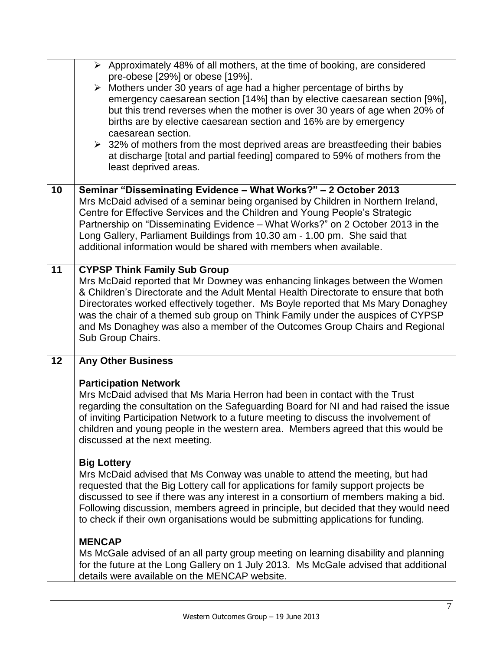|    | $\triangleright$ Approximately 48% of all mothers, at the time of booking, are considered<br>pre-obese [29%] or obese [19%].<br>$\triangleright$ Mothers under 30 years of age had a higher percentage of births by<br>emergency caesarean section [14%] than by elective caesarean section [9%],<br>but this trend reverses when the mother is over 30 years of age when 20% of<br>births are by elective caesarean section and 16% are by emergency<br>caesarean section.<br>$\geq$ 32% of mothers from the most deprived areas are breastfeeding their babies<br>at discharge [total and partial feeding] compared to 59% of mothers from the<br>least deprived areas. |
|----|---------------------------------------------------------------------------------------------------------------------------------------------------------------------------------------------------------------------------------------------------------------------------------------------------------------------------------------------------------------------------------------------------------------------------------------------------------------------------------------------------------------------------------------------------------------------------------------------------------------------------------------------------------------------------|
| 10 | Seminar "Disseminating Evidence - What Works?" - 2 October 2013<br>Mrs McDaid advised of a seminar being organised by Children in Northern Ireland,<br>Centre for Effective Services and the Children and Young People's Strategic<br>Partnership on "Disseminating Evidence - What Works?" on 2 October 2013 in the<br>Long Gallery, Parliament Buildings from 10.30 am - 1.00 pm. She said that<br>additional information would be shared with members when available.                                                                                                                                                                                                  |
| 11 | <b>CYPSP Think Family Sub Group</b><br>Mrs McDaid reported that Mr Downey was enhancing linkages between the Women<br>& Children's Directorate and the Adult Mental Health Directorate to ensure that both<br>Directorates worked effectively together. Ms Boyle reported that Ms Mary Donaghey<br>was the chair of a themed sub group on Think Family under the auspices of CYPSP<br>and Ms Donaghey was also a member of the Outcomes Group Chairs and Regional<br>Sub Group Chairs.                                                                                                                                                                                    |
| 12 | <b>Any Other Business</b>                                                                                                                                                                                                                                                                                                                                                                                                                                                                                                                                                                                                                                                 |
|    | <b>Participation Network</b><br>Mrs McDaid advised that Ms Maria Herron had been in contact with the Trust<br>regarding the consultation on the Safeguarding Board for NI and had raised the issue<br>of inviting Participation Network to a future meeting to discuss the involvement of<br>children and young people in the western area. Members agreed that this would be<br>discussed at the next meeting.                                                                                                                                                                                                                                                           |
|    | <b>Big Lottery</b><br>Mrs McDaid advised that Ms Conway was unable to attend the meeting, but had<br>requested that the Big Lottery call for applications for family support projects be<br>discussed to see if there was any interest in a consortium of members making a bid.<br>Following discussion, members agreed in principle, but decided that they would need<br>to check if their own organisations would be submitting applications for funding.                                                                                                                                                                                                               |
|    | <b>MENCAP</b><br>Ms McGale advised of an all party group meeting on learning disability and planning<br>for the future at the Long Gallery on 1 July 2013. Ms McGale advised that additional<br>details were available on the MENCAP website.                                                                                                                                                                                                                                                                                                                                                                                                                             |